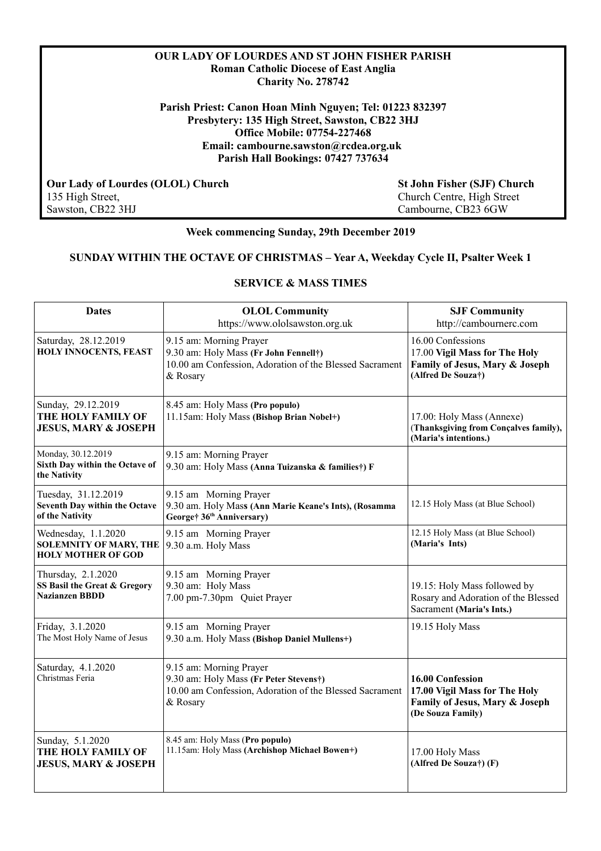### **OUR LADY OF LOURDES AND ST JOHN FISHER PARISH Roman Catholic Diocese of East Anglia Charity No. 278742**

**Parish Priest: Canon Hoan Minh Nguyen; Tel: 01223 832397 Presbytery: 135 High Street, Sawston, CB22 3HJ Office Mobile: 07754-227468 Email: cambourne.sawston@rcdea.org.uk Parish Hall Bookings: 07427 737634**

 **Our Lady of Lourdes (OLOL) Church St John Fisher (SJF) Church** 135 High Street,  $\frac{135 \text{ High Street}}{2 \text{ High Street}}$ 135 High Street,<br>
Sawston, CB22 3HJ<br>
Church Centre, High Street<br>
Cambourne, CB23 6GW

Cambourne, CB23 6GW

## **Week commencing Sunday, 29th December 2019**

#### **SUNDAY WITHIN THE OCTAVE OF CHRISTMAS – Year A, Weekday Cycle II, Psalter Week 1**

## **SERVICE & MASS TIMES**

| <b>Dates</b>                                                                      | <b>OLOL Community</b><br>https://www.ololsawston.org.uk                                                                                  | <b>SJF Community</b><br>http://cambournerc.com                                                             |
|-----------------------------------------------------------------------------------|------------------------------------------------------------------------------------------------------------------------------------------|------------------------------------------------------------------------------------------------------------|
| Saturday, 28.12.2019<br>HOLY INNOCENTS, FEAST                                     | 9.15 am: Morning Prayer<br>9.30 am: Holy Mass (Fr John Fennell†)<br>10.00 am Confession, Adoration of the Blessed Sacrament<br>& Rosary  | 16.00 Confessions<br>17.00 Vigil Mass for The Holy<br>Family of Jesus, Mary & Joseph<br>(Alfred De Souza†) |
| Sunday, 29.12.2019<br>THE HOLY FAMILY OF<br><b>JESUS, MARY &amp; JOSEPH</b>       | 8.45 am: Holy Mass (Pro populo)<br>11.15am: Holy Mass (Bishop Brian Nobel+)                                                              | 17.00: Holy Mass (Annexe)<br>(Thanksgiving from Concalves family),<br>(Maria's intentions.)                |
| Monday, 30.12.2019<br>Sixth Day within the Octave of<br>the Nativity              | 9.15 am: Morning Prayer<br>9.30 am: Holy Mass (Anna Tuizanska & families†) F                                                             |                                                                                                            |
| Tuesday, 31.12.2019<br>Seventh Day within the Octave<br>of the Nativity           | 9.15 am Morning Prayer<br>9.30 am. Holy Mass (Ann Marie Keane's Ints), (Rosamma<br>George† 36 <sup>th</sup> Anniversary)                 | 12.15 Holy Mass (at Blue School)                                                                           |
| Wednesday, 1.1.2020<br><b>SOLEMNITY OF MARY, THE</b><br><b>HOLY MOTHER OF GOD</b> | 9.15 am Morning Prayer<br>9.30 a.m. Holy Mass                                                                                            | 12.15 Holy Mass (at Blue School)<br>(Maria's Ints)                                                         |
| Thursday, 2.1.2020<br>SS Basil the Great & Gregory<br><b>Nazianzen BBDD</b>       | 9.15 am Morning Prayer<br>9.30 am: Holy Mass<br>7.00 pm-7.30pm Quiet Prayer                                                              | 19.15: Holy Mass followed by<br>Rosary and Adoration of the Blessed<br>Sacrament (Maria's Ints.)           |
| Friday, 3.1.2020<br>The Most Holy Name of Jesus                                   | 9.15 am Morning Prayer<br>9.30 a.m. Holy Mass (Bishop Daniel Mullens+)                                                                   | 19.15 Holy Mass                                                                                            |
| Saturday, 4.1.2020<br>Christmas Feria                                             | 9.15 am: Morning Prayer<br>9.30 am: Holy Mass (Fr Peter Stevens†)<br>10.00 am Confession, Adoration of the Blessed Sacrament<br>& Rosary | 16.00 Confession<br>17.00 Vigil Mass for The Holy<br>Family of Jesus, Mary & Joseph<br>(De Souza Family)   |
| Sunday, 5.1.2020<br>THE HOLY FAMILY OF<br><b>JESUS, MARY &amp; JOSEPH</b>         | 8.45 am: Holy Mass (Pro populo)<br>11.15am: Holy Mass (Archishop Michael Bowen+)                                                         | 17.00 Holy Mass<br>(Alfred De Souza†) (F)                                                                  |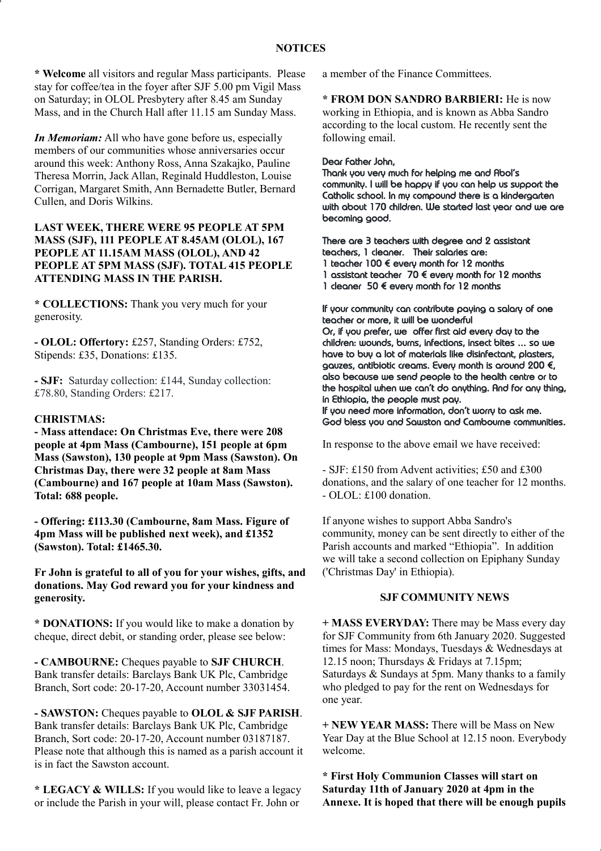**\* Welcome** all visitors and regular Mass participants. Please stay for coffee/tea in the foyer after SJF 5.00 pm Vigil Mass on Saturday; in OLOL Presbytery after 8.45 am Sunday Mass, and in the Church Hall after 11.15 am Sunday Mass.

*In Memoriam:* All who have gone before us, especially members of our communities whose anniversaries occur around this week: Anthony Ross, Anna Szakajko, Pauline Theresa Morrin, Jack Allan, Reginald Huddleston, Louise Corrigan, Margaret Smith, Ann Bernadette Butler, Bernard Cullen, and Doris Wilkins.

### **LAST WEEK, THERE WERE 95 PEOPLE AT 5PM MASS (SJF), 111 PEOPLE AT 8.45AM (OLOL), 167 PEOPLE AT 11.15AM MASS (OLOL), AND 42 PEOPLE AT 5PM MASS (SJF). TOTAL 415 PEOPLE ATTENDING MASS IN THE PARISH.**

**\* COLLECTIONS:** Thank you very much for your generosity.

**- OLOL: Offertory:** £257, Standing Orders: £752, Stipends: £35, Donations: £135.

**- SJF:** Saturday collection: £144, Sunday collection: £78.80, Standing Orders: £217.

#### **CHRISTMAS:**

**- Mass attendace: On Christmas Eve, there were 208 people at 4pm Mass (Cambourne), 151 people at 6pm Mass (Sawston), 130 people at 9pm Mass (Sawston). On Christmas Day, there were 32 people at 8am Mass (Cambourne) and 167 people at 10am Mass (Sawston). Total: 688 people.**

**- Offering: £113.30 (Cambourne, 8am Mass. Figure of 4pm Mass will be published next week), and £1352 (Sawston). Total: £1465.30.**

**Fr John is grateful to all of you for your wishes, gifts, and donations. May God reward you for your kindness and generosity.**

**\* DONATIONS:** If you would like to make a donation by cheque, direct debit, or standing order, please see below:

**- CAMBOURNE:** Cheques payable to **SJF CHURCH**. Bank transfer details: Barclays Bank UK Plc, Cambridge Branch, Sort code: 20-17-20, Account number 33031454.

**- SAWSTON:** Cheques payable to **OLOL & SJF PARISH**. Bank transfer details: Barclays Bank UK Plc, Cambridge Branch, Sort code: 20-17-20, Account number 03187187. Please note that although this is named as a parish account it is in fact the Sawston account.

**\* LEGACY & WILLS:** If you would like to leave a legacy or include the Parish in your will, please contact Fr. John or

a member of the Finance Committees.

**\* FROM DON SANDRO BARBIERI:** He is now working in Ethiopia, and is known as Abba Sandro according to the local custom. He recently sent the following email.

#### Dear Father John,

Thank you very much for helping me and Abol's community. I will be happy if you can help us support the Catholic school. In my compound there is a kindergarten with about 170 children. We started last year and we are becoming good.

There are 3 teachers with degree and 2 assistant teachers, 1 cleaner. Their salaries are: 1 teacher 100 € every month for 12 months 1 assistant teacher  $70 \notin$  every month for 12 months 1 cleaner 50  $\epsilon$  every month for 12 months

If your community can contribute paying a salary of one teacher or more, it will be wonderful Or, if you prefer, we offer first aid every day to the children: wounds, burns, infections, insect bites … so we have to buy a lot of materials like disinfectant, plasters, gauzes, antibiotic creams. Every month is around 200 €, also because we send people to the health centre or to the hospital when we can't do anything. And for any thing, in Ethiopia, the people must pay.

If you need more information, don't worry to ask me. God bless you and Sawston and Cambourne communities.

In response to the above email we have received:

- SJF: £150 from Advent activities; £50 and £300 donations, and the salary of one teacher for 12 months. - OLOL: £100 donation.

If anyone wishes to support Abba Sandro's community, money can be sent directly to either of the Parish accounts and marked "Ethiopia". In addition we will take a second collection on Epiphany Sunday ('Christmas Day' in Ethiopia).

#### **SJF COMMUNITY NEWS**

**+ MASS EVERYDAY:** There may be Mass every day for SJF Community from 6th January 2020. Suggested times for Mass: Mondays, Tuesdays & Wednesdays at 12.15 noon; Thursdays & Fridays at 7.15pm; Saturdays & Sundays at 5pm. Many thanks to a family who pledged to pay for the rent on Wednesdays for one year.

**+ NEW YEAR MASS:** There will be Mass on New Year Day at the Blue School at 12.15 noon. Everybody welcome.

**\* First Holy Communion Classes will start on Saturday 11th of January 2020 at 4pm in the Annexe. It is hoped that there will be enough pupils**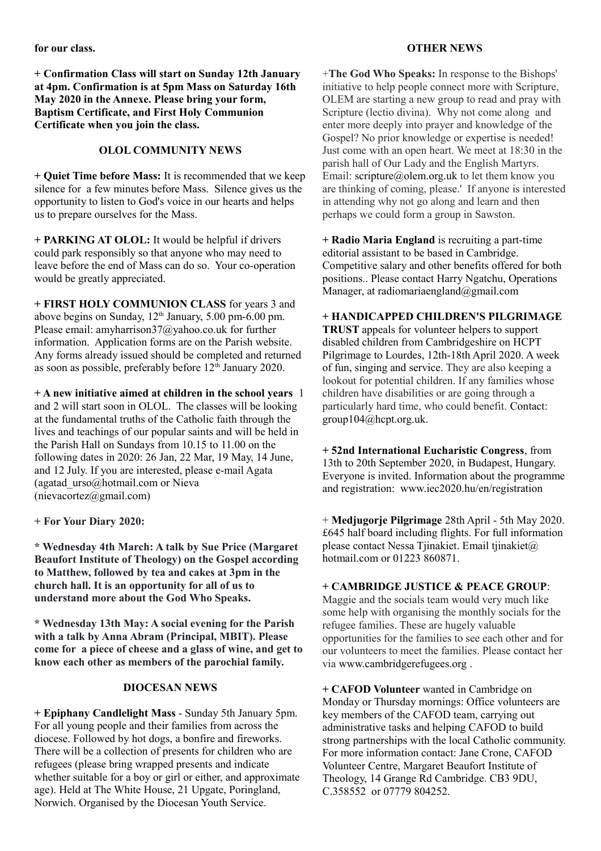**for our class.**

**+ Confirmation Class will start on Sunday 12th January at 4pm. Confirmation is at 5pm Mass on Saturday 16th May 2020 in the Annexe. Please bring your form, Baptism Certificate, and First Holy Communion Certificate when you join the class.**

## **OLOL COMMUNITY NEWS**

**+ Quiet Time before Mass:** It is recommended that we keep silence for a few minutes before Mass. Silence gives us the opportunity to listen to God's voice in our hearts and helps us to prepare ourselves for the Mass.

**+ PARKING AT OLOL:** It would be helpful if drivers could park responsibly so that anyone who may need to leave before the end of Mass can do so. Your co-operation would be greatly appreciated.

**+ FIRST HOLY COMMUNION CLASS** for years 3 and above begins on Sunday,  $12<sup>th</sup>$  January, 5.00 pm-6.00 pm. Please email: amyharrison37@yahoo.co.uk for further information. Application forms are on the Parish website. Any forms already issued should be completed and returned as soon as possible, preferably before  $12<sup>th</sup>$  January 2020.

**+ A new initiative aimed at children in the school years** 1 and 2 will start soon in OLOL. The classes will be looking at the fundamental truths of the Catholic faith through the lives and teachings of our popular saints and will be held in the Parish Hall on Sundays from 10.15 to 11.00 on the following dates in 2020: 26 Jan, 22 Mar, 19 May, 14 June, and 12 July. If you are interested, please e-mail Agata (agatad\_urso@hotmail.com or Nieva  $(nievacotez@gmail.com)$ 

**+ For Your Diary 2020:** 

**\* Wednesday 4th March: A talk by Sue Price (Margaret Beaufort Institute of Theology) on the Gospel according to Matthew, followed by tea and cakes at 3pm in the church hall. It is an opportunity for all of us to understand more about the God Who Speaks.**

**\* Wednesday 13th May: A social evening for the Parish with a talk by Anna Abram (Principal, MBIT). Please come for a piece of cheese and a glass of wine, and get to know each other as members of the parochial family.**

#### **DIOCESAN NEWS**

**+ Epiphany Candlelight Mass** - Sunday 5th January 5pm. For all young people and their families from across the diocese. Followed by hot dogs, a bonfire and fireworks. There will be a collection of presents for children who are refugees (please bring wrapped presents and indicate whether suitable for a boy or girl or either, and approximate age). Held at The White House, 21 Upgate, Poringland, Norwich. Organised by the Diocesan Youth Service.

## **OTHER NEWS**

+**The God Who Speaks:** In response to the Bishops' initiative to help people connect more with Scripture, OLEM are starting a new group to read and pray with Scripture (lectio divina). Why not come along and enter more deeply into prayer and knowledge of the Gospel? No prior knowledge or expertise is needed! Just come with an open heart. We meet at 18:30 in the parish hall of Our Lady and the English Martyrs. Email: scripture@olem.org.uk to let them know you are thinking of coming, please.' If anyone is interested in attending why not go along and learn and then perhaps we could form a group in Sawston.

**+ Radio Maria England** is recruiting a part-time editorial assistant to be based in Cambridge. Competitive salary and other benefits offered for both positions.. Please contact Harry Ngatchu, Operations Manager, at [radiomariaengland@gmail.com](mailto:radiomariaengland@gmail.com)

**+ HANDICAPPED CHILDREN'S PILGRIMAGE TRUST** appeals for volunteer helpers to support disabled children from Cambridgeshire on HCPT Pilgrimage to Lourdes, 12th-18th April 2020. A week of fun, singing and service. They are also keeping a lookout for potential children. If any families whose children have disabilities or are going through a particularly hard time, who could benefit. Contact: group104@hcpt.org.uk.

**+ 52nd International Eucharistic Congress**, from 13th to 20th September 2020, in Budapest, Hungary. Everyone is invited. Information about the programme and registration: www.iec2020.hu/en/registration

+ **Medjugorje Pilgrimage** 28th April - 5th May 2020. £645 half board including flights. For full information please contact Nessa Tjinakiet. Email tjinakiet $\omega$ hotmail.com or 01223 860871.

#### **+ CAMBRIDGE JUSTICE & PEACE GROUP**:

Maggie and the socials team would very much like some help with organising the monthly socials for the refugee families. These are hugely valuable opportunities for the families to see each other and for our volunteers to meet the families. Please contact her via www.cambridgerefugees.org .

**+ CAFOD Volunteer** wanted in Cambridge on Monday or Thursday mornings: Office volunteers are key members of the CAFOD team, carrying out administrative tasks and helping CAFOD to build strong partnerships with the local Catholic community. For more information contact: Jane Crone, CAFOD Volunteer Centre, Margaret Beaufort Institute of Theology, 14 Grange Rd Cambridge. CB3 9DU, C.358552 or 07779 804252.